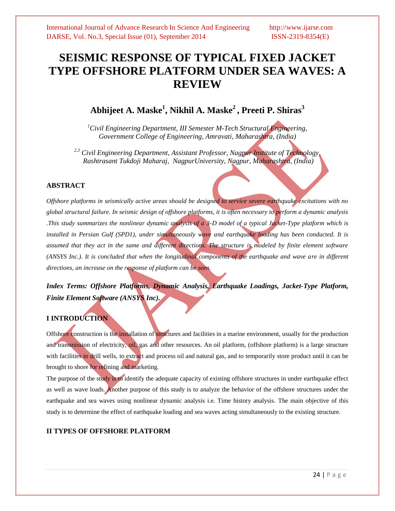# **SEISMIC RESPONSE OF TYPICAL FIXED JACKET TYPE OFFSHORE PLATFORM UNDER SEA WAVES: A REVIEW**

# **Abhijeet A. Maske<sup>1</sup> , Nikhil A. Maske<sup>2</sup> , Preeti P. Shiras<sup>3</sup>**

*<sup>1</sup>Civil Engineering Department, III Semester M-Tech Structural Engineering, Government College of Engineering, Amravati, Maharashtra, (India)*

*2,3 Civil Engineering Department, Assistant Professor, Nagpur Institute of Technology, Rashtrasant Tukdoji Maharaj, NagpurUniversity, Nagpur, Maharashtra, (India)*

#### **ABSTRACT**

*Offshore platforms in seismically active areas should be designed to service severe earthquake excitations with no global structural failure. In seismic design of offshore platforms, it is often necessary to perform a dynamic analysis .This study summarizes the nonlinear dynamic analysis of a 3-D model of a typical Jacket-Type platform which is installed in Persian Gulf (SPD1), under simultaneously wave and earthquake loading has been conducted. It is*  assumed that they act in the same and different directions. The structure is modeled by finite element software *(ANSYS Inc.). It is concluded that when the longitudinal components of the earthquake and wave are in different directions, an increase on the response of platform can be seen.*

*Index Terms: Offshore Platforms, Dynamic Analysis, Earthquake Loadings, Jacket-Type Platform, Finite Element Software (ANSYS Inc).*

# **I INTRODUCTION**

Offshore construction is the installation of structures and facilities in a marine environment, usually for the production and transmission of electricity, oil, gas and other resources. An oil platform, (offshore platform) is a large structure with facilities to drill wells, to extract and process oil and natural gas, and to temporarily store product until it can be brought to shore for refining and marketing.

The purpose of the study is to identify the adequate capacity of existing offshore structures in under earthquake effect as well as wave loads. Another purpose of this study is to analyze the behavior of the offshore structures under the earthquake and sea waves using nonlinear dynamic analysis i.e. Time history analysis. The main objective of this study is to determine the effect of earthquake loading and sea waves acting simultaneously to the existing structure.

### **II TYPES OF OFFSHORE PLATFORM**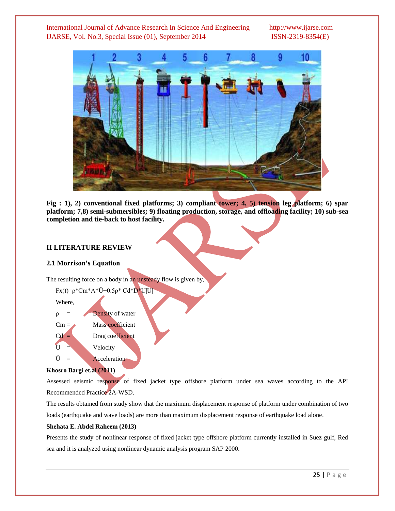

**Fig : 1), 2) conventional fixed platforms; 3) compliant tower; 4, 5) tension leg platform; 6) spar platform; 7,8) semi-submersibles; 9) floating production, storage, and offloading facility; 10) sub-sea completion and tie-back to host facility.** 

#### **II LITERATURE REVIEW**

#### **2.1 Morrison's Equation**

The resulting force on a body in an unsteady flow is given by,



#### **Khosro Bargi et.al (2011)**

Assessed seismic response of fixed jacket type offshore platform under sea waves according to the API Recommended Practice 2A-WSD.

The results obtained from study show that the maximum displacement response of platform under combination of two loads (earthquake and wave loads) are more than maximum displacement response of earthquake load alone.

#### **Shehata E. Abdel Raheem (2013)**

Presents the study of nonlinear response of fixed jacket type offshore platform currently installed in Suez gulf, Red sea and it is analyzed using nonlinear dynamic analysis program SAP 2000.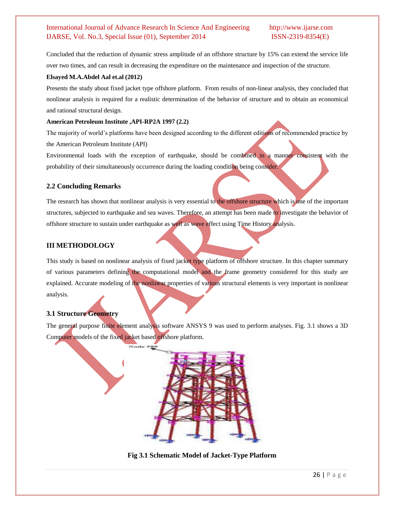Concluded that the reduction of dynamic stress amplitude of an offshore structure by 15% can extend the service life over two times, and can result in decreasing the expenditure on the maintenance and inspection of the structure.

#### **Elsayed M.A.Abdel Aal et.al (2012)**

Presents the study about fixed jacket type offshore platform. From results of non-linear analysis, they concluded that nonlinear analysis is required for a realistic determination of the behavior of structure and to obtain an economical and rational structural design.

#### **American Petroleum Institute ,API-RP2A 1997 (2.2)**

The majority of world's platforms have been designed according to the different editions of recommended practice by the American Petroleum Institute (API)

Environmental loads with the exception of earthquake, should be combined in a manner consistent with the probability of their simultaneously occurrence during the loading condition being consider.

#### **2.2 Concluding Remarks**

The research has shown that nonlinear analysis is very essential to the offshore structure which is one of the important structures, subjected to earthquake and sea waves. Therefore, an attempt has been made to investigate the behavior of offshore structure to sustain under earthquake as well as wave effect using Time History analysis.

### **III METHODOLOGY**

This study is based on nonlinear analysis of fixed jacket type platform of offshore structure. In this chapter summary of various parameters defining the computational model and the frame geometry considered for this study are explained. Accurate modeling of the nonlinear properties of various structural elements is very important in nonlinear analysis.

### **3.1 Structure Geometry**

The general purpose finite element analysis software ANSYS 9 was used to perform analyses. Fig. 3.1 shows a 3D Computer models of the fixed jacket based offshore platform.



**Fig 3.1 Schematic Model of Jacket-Type Platform**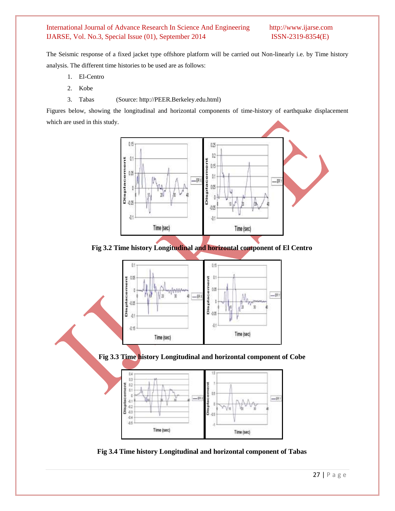The Seismic response of a fixed jacket type offshore platform will be carried out Non-linearly i.e. by Time history analysis. The different time histories to be used are as follows:

- 1. El-Centro
- 2. Kobe
- 3. Tabas (Source: [http://PEER.Berkeley.edu.html\)](http://peer.berkeley.edu.html/)

Figures below, showing the longitudinal and horizontal components of time-history of earthquake displacement which are used in this study.



**Fig 3.2 Time history Longitudinal and horizontal component of El Centro**







**Fig 3.4 Time history Longitudinal and horizontal component of Tabas**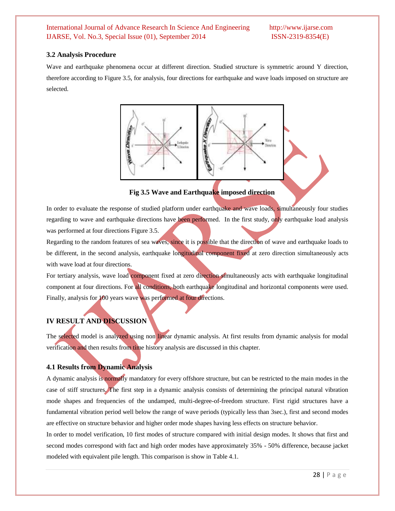#### **3.2 Analysis Procedure**

Wave and earthquake phenomena occur at different direction. Studied structure is symmetric around Y direction, therefore according to Figure 3.5, for analysis, four directions for earthquake and wave loads imposed on structure are selected.



**Fig 3.5 Wave and Earthquake imposed direction**

In order to evaluate the response of studied platform under earthquake and wave loads, simultaneously four studies regarding to wave and earthquake directions have been performed. In the first study, only earthquake load analysis was performed at four directions Figure 3.5.

Regarding to the random features of sea waves, since it is possible that the direction of wave and earthquake loads to be different, in the second analysis, earthquake longitudinal component fixed at zero direction simultaneously acts with wave load at four directions.

For tertiary analysis, wave load component fixed at zero direction simultaneously acts with earthquake longitudinal component at four directions. For all conditions, both earthquake longitudinal and horizontal components were used. Finally, analysis for 100 years wave was performed at four directions.

# **IV RESULT AND DISCUSSION**

The selected model is analyzed using non linear dynamic analysis. At first results from dynamic analysis for modal verification and then results from time history analysis are discussed in this chapter.

### **4.1 Results from Dynamic Analysis**

A dynamic analysis is normally mandatory for every offshore structure, but can be restricted to the main modes in the case of stiff structures. The first step in a dynamic analysis consists of determining the principal natural vibration mode shapes and frequencies of the undamped, multi-degree-of-freedom structure. First rigid structures have a fundamental vibration period well below the range of wave periods (typically less than 3sec.), first and second modes are effective on structure behavior and higher order mode shapes having less effects on structure behavior.

In order to model verification, 10 first modes of structure compared with initial design modes. It shows that first and second modes correspond with fact and high order modes have approximately 35% - 50% difference, because jacket modeled with equivalent pile length. This comparison is show in Table 4.1.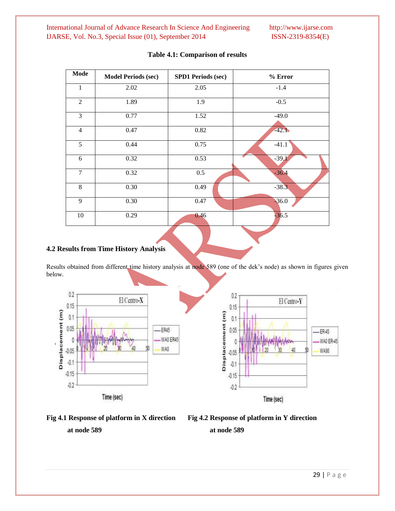| Mode           | <b>Model Periods (sec)</b> | <b>SPD1 Periods (sec)</b> | % Error |  |  |
|----------------|----------------------------|---------------------------|---------|--|--|
| 1              | 2.02                       | 2.05                      | $-1.4$  |  |  |
| $\overline{2}$ | 1.89                       | 1.9                       | $-0.5$  |  |  |
| 3              | 0.77                       | 1.52                      | $-49.0$ |  |  |
| $\overline{4}$ | 0.47                       | 0.82                      | $-42.1$ |  |  |
| 5              | 0.44                       | 0.75                      | $-41.1$ |  |  |
| 6              | 0.32                       | 0.53                      | $-39.1$ |  |  |
| $\overline{7}$ | 0.32                       | 0.5                       | $-36.4$ |  |  |
| 8              | 0.30                       | 0.49                      | $-38.3$ |  |  |
| 9              | 0.30                       | 0.47                      | $-36.0$ |  |  |
| 10             | 0.29                       | 0.46                      | $-36.5$ |  |  |

#### **Table 4.1: Comparison of results**

#### **4.2 Results from Time History Analysis**

Results obtained from different time history analysis at node 589 (one of the dek's node) as shown in figures given below.







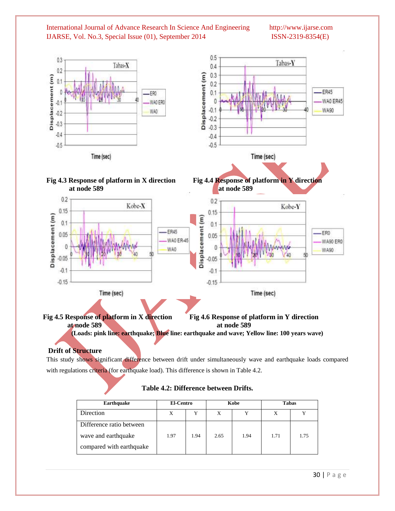

 **Fig 4.5 Response of platform in X direction Fig 4.6 Response of platform in Y direction at node 589 at node 589 (Loads: pink line: earthquake; Blue line: earthquake and wave; Yellow line: 100 years wave)**

**Drift of Structure**

This study shows significant difference between drift under simultaneously wave and earthquake loads compared with regulations criteria (for earthquake load). This difference is shown in Table 4.2.

| <b>Earthquake</b>        | El-Centro |      | Kobe |      | <b>Tabas</b> |              |
|--------------------------|-----------|------|------|------|--------------|--------------|
| Direction                | X         | Y    | X    | v    | Χ            | $\mathbf{v}$ |
| Difference ratio between |           |      |      |      |              |              |
| wave and earthquake      | 1.97      | 1.94 | 2.65 | 1.94 | 1.71         | 1.75         |
| compared with earthquake |           |      |      |      |              |              |

### **Table 4.2: Difference between Drifts.**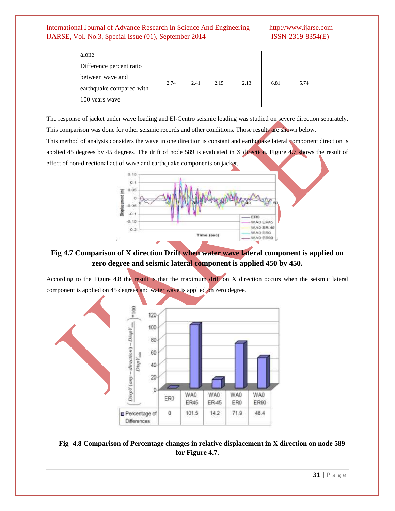| alone                    |      |      |      |      |      |      |
|--------------------------|------|------|------|------|------|------|
| Difference percent ratio |      | 2.41 | 2.15 | 2.13 | 6.81 | 5.74 |
| between wave and         | 2.74 |      |      |      |      |      |
| earthquake compared with |      |      |      |      |      |      |
| 100 years wave           |      |      |      |      |      |      |

The response of jacket under wave loading and El-Centro seismic loading was studied on severe direction separately.

This comparison was done for other seismic records and other conditions. Those results are shown below.

This method of analysis considers the wave in one direction is constant and earthquake lateral component direction is applied 45 degrees by 45 degrees. The drift of node 589 is evaluated in X direction. Figure 4.7 shows the result of effect of non-directional act of wave and earthquake components on jacket.



# **Fig 4.7 Comparison of X direction Drift when water wave lateral component is applied on zero degree and seismic lateral component is applied 450 by 450.**

According to the Figure 4.8 the result is that the maximum drift on X direction occurs when the seismic lateral component is applied on 45 degrees and water wave is applied on zero degree.



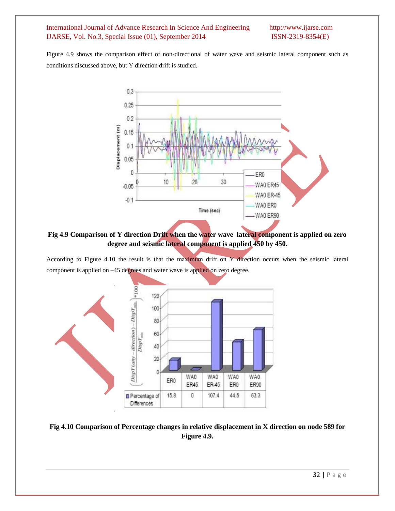Figure 4.9 shows the comparison effect of non-directional of water wave and seismic lateral component such as conditions discussed above, but Y direction drift is studied.



**Fig 4.9 Comparison of Y direction Drift when the water wave lateral component is applied on zero degree and seismic lateral component is applied 450 by 450.**

According to Figure 4.10 the result is that the maximum drift on Y direction occurs when the seismic lateral component is applied on –45 degrees and water wave is applied on zero degree.



**Fig 4.10 Comparison of Percentage changes in relative displacement in X direction on node 589 for Figure 4.9.**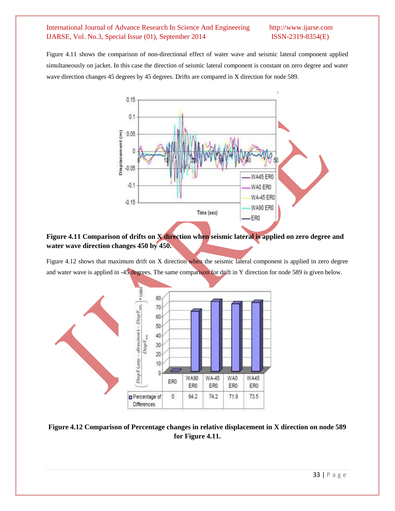Figure 4.11 shows the comparison of non-directional effect of water wave and seismic lateral component applied simultaneously on jacket. In this case the direction of seismic lateral component is constant on zero degree and water wave direction changes 45 degrees by 45 degrees. Drifts are compared in X direction for node 589.



## **Figure 4.11 Comparison of drifts on X direction when seismic lateral is applied on zero degree and water wave direction changes 450 by 450.**

Figure 4.12 shows that maximum drift on X direction when the seismic lateral component is applied in zero degree and water wave is applied in -45 degrees. The same comparison for drift in Y direction for node 589 is given below.



# **Figure 4.12 Comparison of Percentage changes in relative displacement in X direction on node 589 for Figure 4.11.**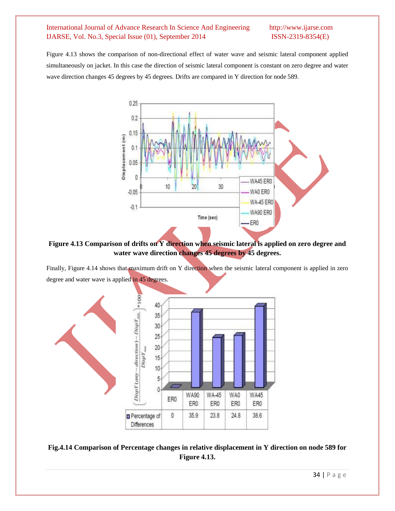Figure 4.13 shows the comparison of non-directional effect of water wave and seismic lateral component applied simultaneously on jacket. In this case the direction of seismic lateral component is constant on zero degree and water wave direction changes 45 degrees by 45 degrees. Drifts are compared in Y direction for node 589.



**Figure 4.13 Comparison of drifts on Y direction when seismic lateral is applied on zero degree and water wave direction changes 45 degrees by 45 degrees.**

Finally, Figure 4.14 shows that maximum drift on Y direction when the seismic lateral component is applied in zero degree and water wave is applied in 45 degrees.